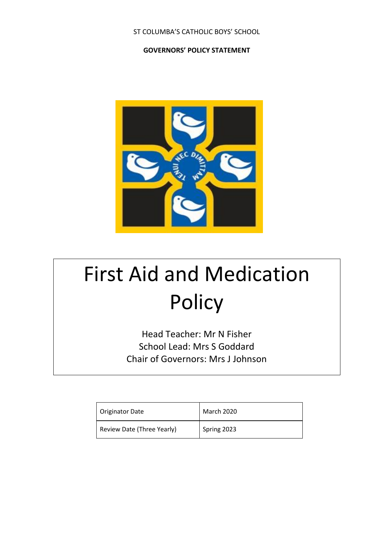# ST COLUMBA'S CATHOLIC BOYS' SCHOOL

# **GOVERNORS' POLICY STATEMENT**



# First Aid and Medication Policy

Head Teacher: Mr N Fisher School Lead: Mrs S Goddard Chair of Governors: Mrs J Johnson

| Originator Date            | March 2020  |
|----------------------------|-------------|
| Review Date (Three Yearly) | Spring 2023 |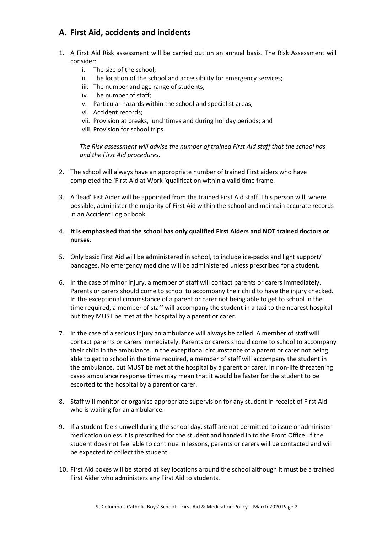# **A. First Aid, accidents and incidents**

- 1. A First Aid Risk assessment will be carried out on an annual basis. The Risk Assessment will consider:
	- i. The size of the school;
	- ii. The location of the school and accessibility for emergency services;
	- iii. The number and age range of students;
	- iv. The number of staff;
	- v. Particular hazards within the school and specialist areas;
	- vi. Accident records;
	- vii. Provision at breaks, lunchtimes and during holiday periods; and
	- viii. Provision for school trips.

*The Risk assessment will advise the number of trained First Aid staff that the school has and the First Aid procedures.*

- 2. The school will always have an appropriate number of trained First aiders who have completed the 'First Aid at Work 'qualification within a valid time frame.
- 3. A 'lead' Fist Aider will be appointed from the trained First Aid staff. This person will, where possible, administer the majority of First Aid within the school and maintain accurate records in an Accident Log or book.
- 4. **It is emphasised that the school has only qualified First Aiders and NOT trained doctors or nurses.**
- 5. Only basic First Aid will be administered in school, to include ice-packs and light support/ bandages. No emergency medicine will be administered unless prescribed for a student.
- 6. In the case of minor injury, a member of staff will contact parents or carers immediately. Parents or carers should come to school to accompany their child to have the injury checked. In the exceptional circumstance of a parent or carer not being able to get to school in the time required, a member of staff will accompany the student in a taxi to the nearest hospital but they MUST be met at the hospital by a parent or carer.
- 7. In the case of a serious injury an ambulance will always be called. A member of staff will contact parents or carers immediately. Parents or carers should come to school to accompany their child in the ambulance. In the exceptional circumstance of a parent or carer not being able to get to school in the time required, a member of staff will accompany the student in the ambulance, but MUST be met at the hospital by a parent or carer. In non-life threatening cases ambulance response times may mean that it would be faster for the student to be escorted to the hospital by a parent or carer.
- 8. Staff will monitor or organise appropriate supervision for any student in receipt of First Aid who is waiting for an ambulance.
- 9. If a student feels unwell during the school day, staff are not permitted to issue or administer medication unless it is prescribed for the student and handed in to the Front Office. If the student does not feel able to continue in lessons, parents or carers will be contacted and will be expected to collect the student.
- 10. First Aid boxes will be stored at key locations around the school although it must be a trained First Aider who administers any First Aid to students.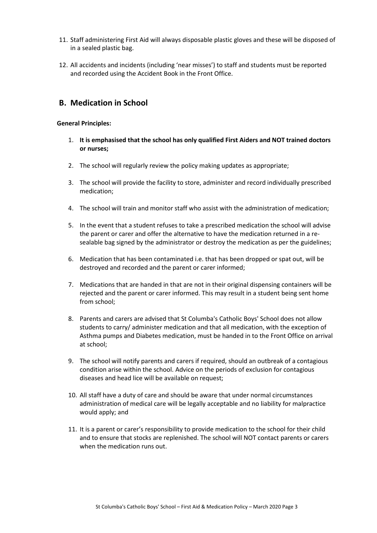- 11. Staff administering First Aid will always disposable plastic gloves and these will be disposed of in a sealed plastic bag.
- 12. All accidents and incidents (including 'near misses') to staff and students must be reported and recorded using the Accident Book in the Front Office.

# **B. Medication in School**

## **General Principles:**

- 1. **It is emphasised that the school has only qualified First Aiders and NOT trained doctors or nurses;**
- 2. The school will regularly review the policy making updates as appropriate;
- 3. The school will provide the facility to store, administer and record individually prescribed medication;
- 4. The school will train and monitor staff who assist with the administration of medication;
- 5. In the event that a student refuses to take a prescribed medication the school will advise the parent or carer and offer the alternative to have the medication returned in a resealable bag signed by the administrator or destroy the medication as per the guidelines;
- 6. Medication that has been contaminated i.e. that has been dropped or spat out, will be destroyed and recorded and the parent or carer informed;
- 7. Medications that are handed in that are not in their original dispensing containers will be rejected and the parent or carer informed. This may result in a student being sent home from school;
- 8. Parents and carers are advised that St Columba's Catholic Boys' School does not allow students to carry/ administer medication and that all medication, with the exception of Asthma pumps and Diabetes medication, must be handed in to the Front Office on arrival at school;
- 9. The school will notify parents and carers if required, should an outbreak of a contagious condition arise within the school. Advice on the periods of exclusion for contagious diseases and head lice will be available on request;
- 10. All staff have a duty of care and should be aware that under normal circumstances administration of medical care will be legally acceptable and no liability for malpractice would apply; and
- 11. It is a parent or carer's responsibility to provide medication to the school for their child and to ensure that stocks are replenished. The school will NOT contact parents or carers when the medication runs out.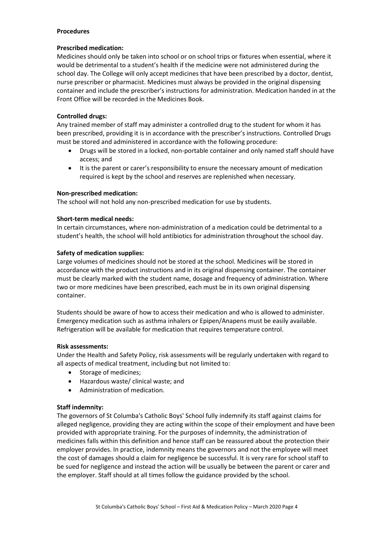## **Procedures**

## **Prescribed medication:**

Medicines should only be taken into school or on school trips or fixtures when essential, where it would be detrimental to a student's health if the medicine were not administered during the school day. The College will only accept medicines that have been prescribed by a doctor, dentist, nurse prescriber or pharmacist. Medicines must always be provided in the original dispensing container and include the prescriber's instructions for administration. Medication handed in at the Front Office will be recorded in the Medicines Book.

# **Controlled drugs:**

Any trained member of staff may administer a controlled drug to the student for whom it has been prescribed, providing it is in accordance with the prescriber's instructions. Controlled Drugs must be stored and administered in accordance with the following procedure:

- Drugs will be stored in a locked, non-portable container and only named staff should have access; and
- It is the parent or carer's responsibility to ensure the necessary amount of medication required is kept by the school and reserves are replenished when necessary.

# **Non-prescribed medication:**

The school will not hold any non-prescribed medication for use by students.

# **Short-term medical needs:**

In certain circumstances, where non-administration of a medication could be detrimental to a student's health, the school will hold antibiotics for administration throughout the school day.

# **Safety of medication supplies:**

Large volumes of medicines should not be stored at the school. Medicines will be stored in accordance with the product instructions and in its original dispensing container. The container must be clearly marked with the student name, dosage and frequency of administration. Where two or more medicines have been prescribed, each must be in its own original dispensing container.

Students should be aware of how to access their medication and who is allowed to administer. Emergency medication such as asthma inhalers or Epipen/Anapens must be easily available. Refrigeration will be available for medication that requires temperature control.

## **Risk assessments:**

Under the Health and Safety Policy, risk assessments will be regularly undertaken with regard to all aspects of medical treatment, including but not limited to:

- Storage of medicines;
- Hazardous waste/ clinical waste; and
- Administration of medication.

## **Staff indemnity:**

The governors of St Columba's Catholic Boys' School fully indemnify its staff against claims for alleged negligence, providing they are acting within the scope of their employment and have been provided with appropriate training. For the purposes of indemnity, the administration of medicines falls within this definition and hence staff can be reassured about the protection their employer provides. In practice, indemnity means the governors and not the employee will meet the cost of damages should a claim for negligence be successful. It is very rare for school staff to be sued for negligence and instead the action will be usually be between the parent or carer and the employer. Staff should at all times follow the guidance provided by the school.